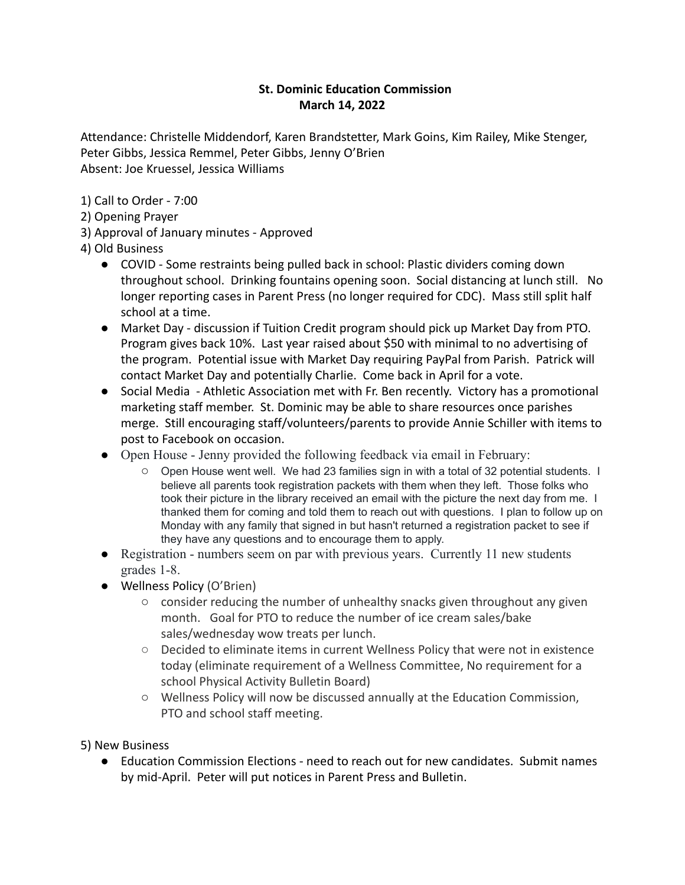## **St. Dominic Education Commission March 14, 2022**

Attendance: Christelle Middendorf, Karen Brandstetter, Mark Goins, Kim Railey, Mike Stenger, Peter Gibbs, Jessica Remmel, Peter Gibbs, Jenny O'Brien Absent: Joe Kruessel, Jessica Williams

1) Call to Order - 7:00

- 2) Opening Prayer
- 3) Approval of January minutes Approved
- 4) Old Business
	- COVID Some restraints being pulled back in school: Plastic dividers coming down throughout school. Drinking fountains opening soon. Social distancing at lunch still. No longer reporting cases in Parent Press (no longer required for CDC). Mass still split half school at a time.
	- Market Day discussion if Tuition Credit program should pick up Market Day from PTO. Program gives back 10%. Last year raised about \$50 with minimal to no advertising of the program. Potential issue with Market Day requiring PayPal from Parish. Patrick will contact Market Day and potentially Charlie. Come back in April for a vote.
	- Social Media Athletic Association met with Fr. Ben recently. Victory has a promotional marketing staff member. St. Dominic may be able to share resources once parishes merge. Still encouraging staff/volunteers/parents to provide Annie Schiller with items to post to Facebook on occasion.
	- Open House Jenny provided the following feedback via email in February:
		- Open House went well. We had 23 families sign in with a total of 32 potential students. I believe all parents took registration packets with them when they left. Those folks who took their picture in the library received an email with the picture the next day from me. I thanked them for coming and told them to reach out with questions. I plan to follow up on Monday with any family that signed in but hasn't returned a registration packet to see if they have any questions and to encourage them to apply.
	- Registration numbers seem on par with previous years. Currently 11 new students grades 1-8.
	- Wellness Policy (O'Brien)
		- consider reducing the number of unhealthy snacks given throughout any given month. Goal for PTO to reduce the number of ice cream sales/bake sales/wednesday wow treats per lunch.
		- Decided to eliminate items in current Wellness Policy that were not in existence today (eliminate requirement of a Wellness Committee, No requirement for a school Physical Activity Bulletin Board)
		- Wellness Policy will now be discussed annually at the Education Commission, PTO and school staff meeting.
- 5) New Business
	- Education Commission Elections need to reach out for new candidates. Submit names by mid-April. Peter will put notices in Parent Press and Bulletin.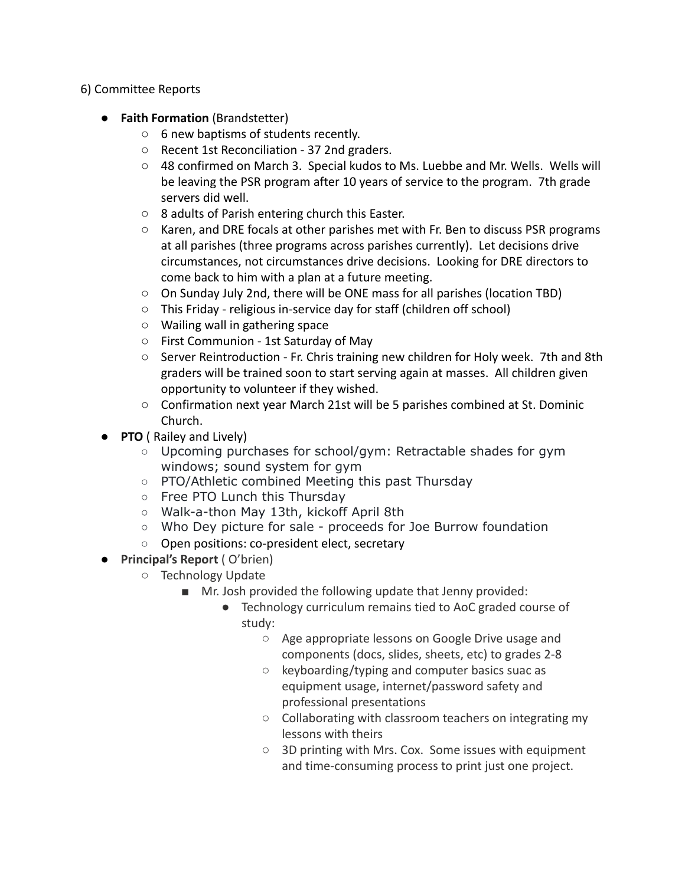## 6) Committee Reports

- **Faith Formation** (Brandstetter)
	- 6 new baptisms of students recently.
	- Recent 1st Reconciliation 37 2nd graders.
	- 48 confirmed on March 3. Special kudos to Ms. Luebbe and Mr. Wells. Wells will be leaving the PSR program after 10 years of service to the program. 7th grade servers did well.
	- 8 adults of Parish entering church this Easter.
	- $\circ$  Karen, and DRE focals at other parishes met with Fr. Ben to discuss PSR programs at all parishes (three programs across parishes currently). Let decisions drive circumstances, not circumstances drive decisions. Looking for DRE directors to come back to him with a plan at a future meeting.
	- $\circ$  On Sunday July 2nd, there will be ONE mass for all parishes (location TBD)
	- This Friday religious in-service day for staff (children off school)
	- Wailing wall in gathering space
	- First Communion 1st Saturday of May
	- Server Reintroduction Fr. Chris training new children for Holy week. 7th and 8th graders will be trained soon to start serving again at masses. All children given opportunity to volunteer if they wished.
	- Confirmation next year March 21st will be 5 parishes combined at St. Dominic Church.
- **PTO** ( Railey and Lively)
	- Upcoming purchases for school/gym: Retractable shades for gym windows; sound system for gym
	- PTO/Athletic combined Meeting this past Thursday
	- Free PTO Lunch this Thursday
	- Walk-a-thon May 13th, kickoff April 8th
	- Who Dey picture for sale proceeds for Joe Burrow foundation
	- Open positions: co-president elect, secretary
- **Principal's Report** ( O'brien)
	- Technology Update
		- Mr. Josh provided the following update that Jenny provided:
			- Technology curriculum remains tied to AoC graded course of study:
				- Age appropriate lessons on Google Drive usage and components (docs, slides, sheets, etc) to grades 2-8
				- keyboarding/typing and computer basics suac as equipment usage, internet/password safety and professional presentations
				- Collaborating with classroom teachers on integrating my lessons with theirs
				- 3D printing with Mrs. Cox. Some issues with equipment and time-consuming process to print just one project.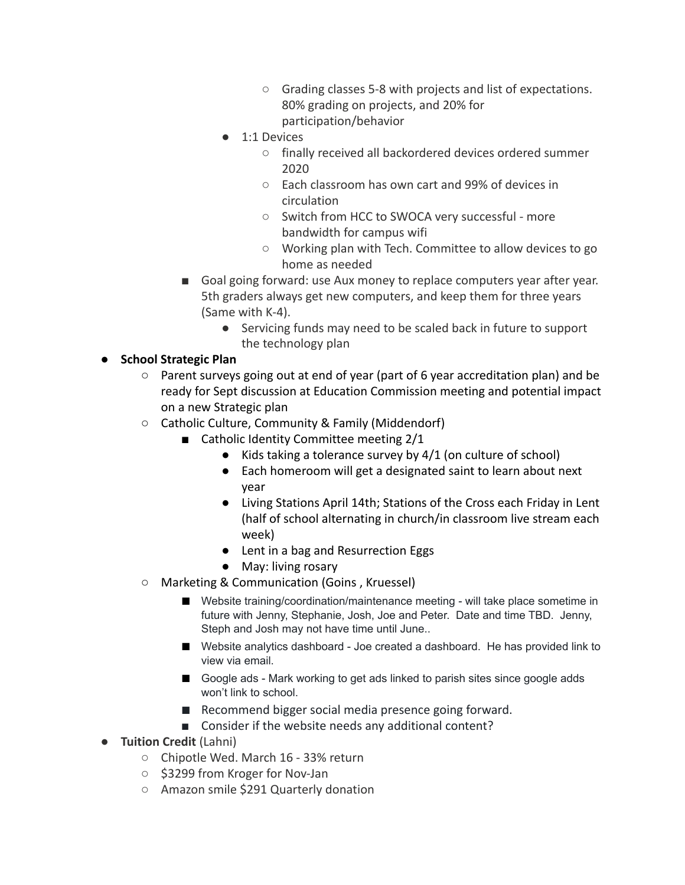- Grading classes 5-8 with projects and list of expectations. 80% grading on projects, and 20% for participation/behavior
- 1:1 Devices
	- finally received all backordered devices ordered summer 2020
	- Each classroom has own cart and 99% of devices in circulation
	- Switch from HCC to SWOCA very successful more bandwidth for campus wifi
	- Working plan with Tech. Committee to allow devices to go home as needed
- Goal going forward: use Aux money to replace computers year after year. 5th graders always get new computers, and keep them for three years (Same with K-4).
	- Servicing funds may need to be scaled back in future to support the technology plan

## ● **School Strategic Plan**

- $\circ$  Parent surveys going out at end of year (part of 6 year accreditation plan) and be ready for Sept discussion at Education Commission meeting and potential impact on a new Strategic plan
- Catholic Culture, Community & Family (Middendorf)
	- Catholic Identity Committee meeting 2/1
		- $\bullet$  Kids taking a tolerance survey by 4/1 (on culture of school)
		- Each homeroom will get a designated saint to learn about next year
		- Living Stations April 14th; Stations of the Cross each Friday in Lent (half of school alternating in church/in classroom live stream each week)
		- Lent in a bag and Resurrection Eggs
		- May: living rosary
- Marketing & Communication (Goins , Kruessel)
	- Website training/coordination/maintenance meeting will take place sometime in future with Jenny, Stephanie, Josh, Joe and Peter. Date and time TBD. Jenny, Steph and Josh may not have time until June..
	- Website analytics dashboard Joe created a dashboard. He has provided link to view via email.
	- Google ads Mark working to get ads linked to parish sites since google adds won't link to school.
	- Recommend bigger social media presence going forward.
	- Consider if the website needs any additional content?
- **Tuition Credit** (Lahni)
	- Chipotle Wed. March 16 33% return
	- \$3299 from Kroger for Nov-Jan
	- Amazon smile \$291 Quarterly donation